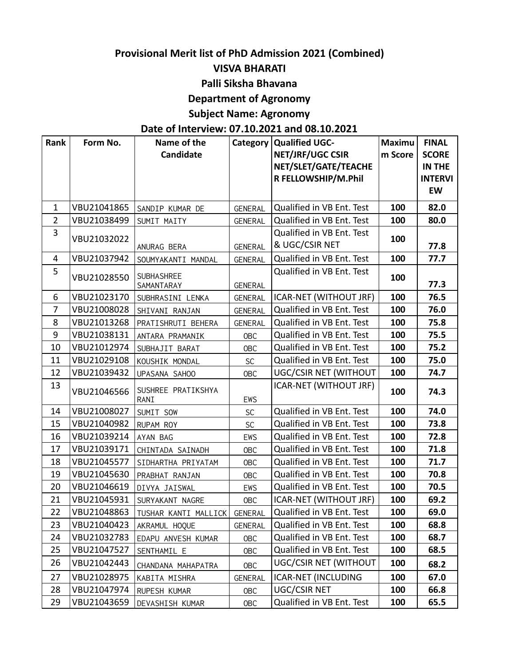# **Provisional Merit list of PhD Admission 2021 (Combined)**

#### **VISVA BHARATI**

#### **Palli Siksha Bhavana**

## **Department of Agronomy**

# **Subject Name: Agronomy**

### **Date of Interview: 07.10.2021 and 08.10.2021**

| Rank           | Form No.    | Name of the          | Category       | Qualified UGC-             | <b>Maximu</b> | <b>FINAL</b>   |
|----------------|-------------|----------------------|----------------|----------------------------|---------------|----------------|
|                |             | Candidate            |                | NET/JRF/UGC CSIR           | m Score       | <b>SCORE</b>   |
|                |             |                      |                | NET/SLET/GATE/TEACHE       |               | IN THE         |
|                |             |                      |                | R FELLOWSHIP/M.Phil        |               | <b>INTERVI</b> |
|                |             |                      |                |                            |               | EW             |
| 1              | VBU21041865 | SANDIP KUMAR DE      | <b>GENERAL</b> | Qualified in VB Ent. Test  | 100           | 82.0           |
| $\overline{2}$ | VBU21038499 | SUMIT MAITY          | GENERAL        | Qualified in VB Ent. Test  | 100           | 80.0           |
| 3              | VBU21032022 |                      |                | Qualified in VB Ent. Test  | 100           |                |
|                |             | ANURAG BERA          | GENERAL        | & UGC/CSIR NET             |               | 77.8           |
| 4              | VBU21037942 | SOUMYAKANTI MANDAL   | <b>GENERAL</b> | Qualified in VB Ent. Test  | 100           | 77.7           |
| 5              | VBU21028550 | SUBHASHREE           |                | Qualified in VB Ent. Test  | 100           |                |
|                |             | SAMANTARAY           | <b>GENERAL</b> |                            |               | 77.3           |
| 6              | VBU21023170 | SUBHRASINI LENKA     | <b>GENERAL</b> | ICAR-NET (WITHOUT JRF)     | 100           | 76.5           |
| $\overline{7}$ | VBU21008028 | SHIVANI RANJAN       | <b>GENERAL</b> | Qualified in VB Ent. Test  | 100           | 76.0           |
| 8              | VBU21013268 | PRATISHRUTI BEHERA   | <b>GENERAL</b> | Qualified in VB Ent. Test  | 100           | 75.8           |
| 9              | VBU21038131 | ANTARA PRAMANIK      | <b>OBC</b>     | Qualified in VB Ent. Test  | 100           | 75.5           |
| 10             | VBU21012974 | SUBHAJIT BARAT       | <b>OBC</b>     | Qualified in VB Ent. Test  | 100           | 75.2           |
| 11             | VBU21029108 | KOUSHIK MONDAL       | <b>SC</b>      | Qualified in VB Ent. Test  | 100           | 75.0           |
| 12             | VBU21039432 | UPASANA SAHOO        | <b>OBC</b>     | UGC/CSIR NET (WITHOUT      | 100           | 74.7           |
| 13             | VBU21046566 | SUSHREE PRATIKSHYA   |                | ICAR-NET (WITHOUT JRF)     | 100           | 74.3           |
|                |             | RANI                 | EWS            |                            |               |                |
| 14             | VBU21008027 | SUMIT SOW            | SC             | Qualified in VB Ent. Test  | 100           | 74.0           |
| 15             | VBU21040982 | RUPAM ROY            | SC             | Qualified in VB Ent. Test  | 100           | 73.8           |
| 16             | VBU21039214 | AYAN BAG             | EWS            | Qualified in VB Ent. Test  | 100           | 72.8           |
| 17             | VBU21039171 | CHINTADA SAINADH     | <b>OBC</b>     | Qualified in VB Ent. Test  | 100           | 71.8           |
| 18             | VBU21045577 | SIDHARTHA PRIYATAM   | OBC            | Qualified in VB Ent. Test  | 100           | 71.7           |
| 19             | VBU21045630 | PRABHAT RANJAN       | <b>OBC</b>     | Qualified in VB Ent. Test  | 100           | 70.8           |
| 20             | VBU21046619 | DIVYA JAISWAL        | EWS            | Qualified in VB Ent. Test  | 100           | 70.5           |
| 21             | VBU21045931 | SURYAKANT NAGRE      | <b>OBC</b>     | ICAR-NET (WITHOUT JRF)     | 100           | 69.2           |
| 22             | VBU21048863 | TUSHAR KANTI MALLICK | GENERAL        | Qualified in VB Ent. Test  | 100           | 69.0           |
| 23             | VBU21040423 | AKRAMUL HOQUE        | <b>GENERAL</b> | Qualified in VB Ent. Test  | 100           | 68.8           |
| 24             | VBU21032783 | EDAPU ANVESH KUMAR   | <b>OBC</b>     | Qualified in VB Ent. Test  | 100           | 68.7           |
| 25             | VBU21047527 | SENTHAMIL E          | <b>OBC</b>     | Qualified in VB Ent. Test  | 100           | 68.5           |
| 26             | VBU21042443 | CHANDANA MAHAPATRA   | <b>OBC</b>     | UGC/CSIR NET (WITHOUT      | 100           | 68.2           |
| 27             | VBU21028975 | KABITA MISHRA        | <b>GENERAL</b> | <b>ICAR-NET (INCLUDING</b> | 100           | 67.0           |
| 28             | VBU21047974 | RUPESH KUMAR         | <b>OBC</b>     | UGC/CSIR NET               | 100           | 66.8           |
| 29             | VBU21043659 | DEVASHISH KUMAR      | <b>OBC</b>     | Qualified in VB Ent. Test  | 100           | 65.5           |